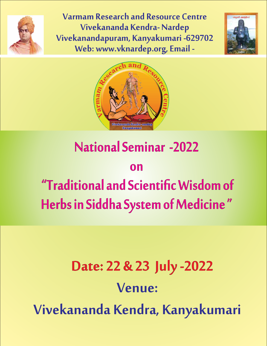

Varmam Research and Resource Centre Vivekananda Kendra- Nardep Vivekanandapuram, Kanyakumari -629702 Web: www.vknardep.org, Email -





## National Seminar -2022

### on

# "Traditional and Scientific Wisdom of Herbs in Siddha System of Medicine "

# Date: 22 & 23 July -2022

## Venue:

Vivekananda Kendra, Kanyakumari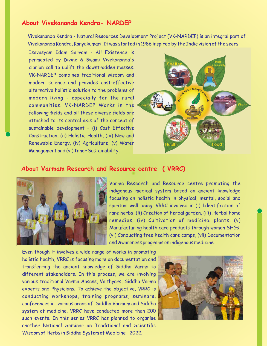#### **About Vivekananda Kendra- NARDEP**

Vivekananda Kendra - Natural Resources Development Project (VK-NARDEP) is an integral part of Vivekananda Kendra, Kanyakumari. It was started in 1986 inspired by the Indic vision of the seers:

Isavasyam Idam Sarvam - All Existence is permeated by Divine & Swami Vivekananda's clarion call to uplift the downtrodden masses. VK-NARDEP combines traditional wisdom and modern science and provides cost-effective alternative holistic solution to the problems of modern living - especially for the rural communities. VK-NARDEP Works in the following fields and all these diverse fields are attached to its central axis of the concept of sustainable development – (i) Cost Effective Construction, (ii) Holistic Health, (iii) New and Renewable Energy, (iv) Agriculture, (v) Water Management and (vi) Inner Sustainability.



#### **About Varmam Research and Resource centre ( VRRC)**



Varma Research and Resource centre promoting the indigenous medical system based on ancient knowledge focusing on holistic health in physical, mental, social and spiritual well being. VRRC involved in (i) Identification of rare herbs, (ii) Creation of herbal garden, (iii) Herbal home remedies, (iv) Cultivation of medicinal plants, (v) Manufacturing health care products through women SHGs, (vi) Conducting free health care camps, (vii) Documentation and Awareness programs on indigenous medicine.

Even though it involves a wide range of works in promoting holistic health, VRRC is focusing more on documentation and transferring the ancient knowledge of Siddha Varma to different stakeholders. In this process, we are involving various traditional Varma Aasans, Vaithyars, Siddha Varma experts and Physicians. To achieve the objective, VRRC is conducting workshops, training programs, seminars, conferences in various areas of Siddha Varmam and Siddha system of medicine. VRRC have conducted more than 200 such events. In this series VRRC has planned to organise another National Seminar on Traditional and Scientific Wisdom of Herbs in Siddha System of Medicine – 2022.

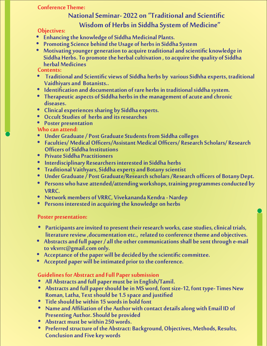#### Conference Theme:

#### National Seminar- 2022 on "Traditional and Scientific Wisdom of Herbs in Siddha System of Medicine"

#### Objectives:

- Enhancing the knowledge of Siddha Medicinal Plants.
- **Promoting Science behind the Usage of herbs in Siddha System**
- Motivating younger generation to acquire traditional and scientific knowledge in Siddha Herbs. To promote the herbal cultivation , to acquire the quality of Siddha herbal Medicines

#### Contents:

- Traditional and Scientific views of Siddha herbs by various Sidhha experts, traditional Vaidhiyars and Botanists..
- Identification and documentation of rare herbs in traditional siddha system.
- Therapeutic aspects of Siddha herbs in the management of acute and chronic diseases.
- Clinical experiences sharing by Siddha experts.
- Occult Studies of herbs and its researches
- **•** Poster presentation

#### Who can attend:

- Under Graduate / Post Graduate Students from Siddha colleges
- Faculties/ Medical Officers/Assistant Medical Officers/ Research Scholars/ Research Officers of Siddha Institutions
- **•** Private Siddha Practitioners
- Interdisciplinary Researchers interested in Siddha herbs
- Traditional Vaithyars, Siddha experts and Botany scientist
- Under Graduate / Post Graduate/Research scholars /Research officers of Botany Dept.
- Persons who have attended/attending workshops, training programmes conducted by VRRC.
- Network members of VRRC, Vivekananda Kendra Nardep
- Persons interested in acquiring the knowledge on herbs

#### Poster presentation:

- Participants are invited to present their research works, case studies, clinical trials, literature review ,documentation etc., related to conference theme and objectives.
- Abstracts and full paper / all the other communications shall be sent through e-mail to vkvrrc@gmail.com only.
- Acceptance of the paper will be decided by the scientific committee.
- Accepted paper will be intimated prior to the conference.

#### Guidelines for Abstract and Full Paper submission

- All Abstracts and full paper must be in English/Tamil.
- Abstracts and full paper should be in MS word, font size-12, font type- Times New Roman, Latha, Text should be 1.5 space and justified
- Title should be within 15 words in bold font
- Name and Affiliation of the Author with contact details along with Email ID of Presenting Author. Should be provided
- Abstract must be within 250 words.
- Preferred structure of the Abstract: Background, Objectives, Methods, Results, Conclusion and Five key words